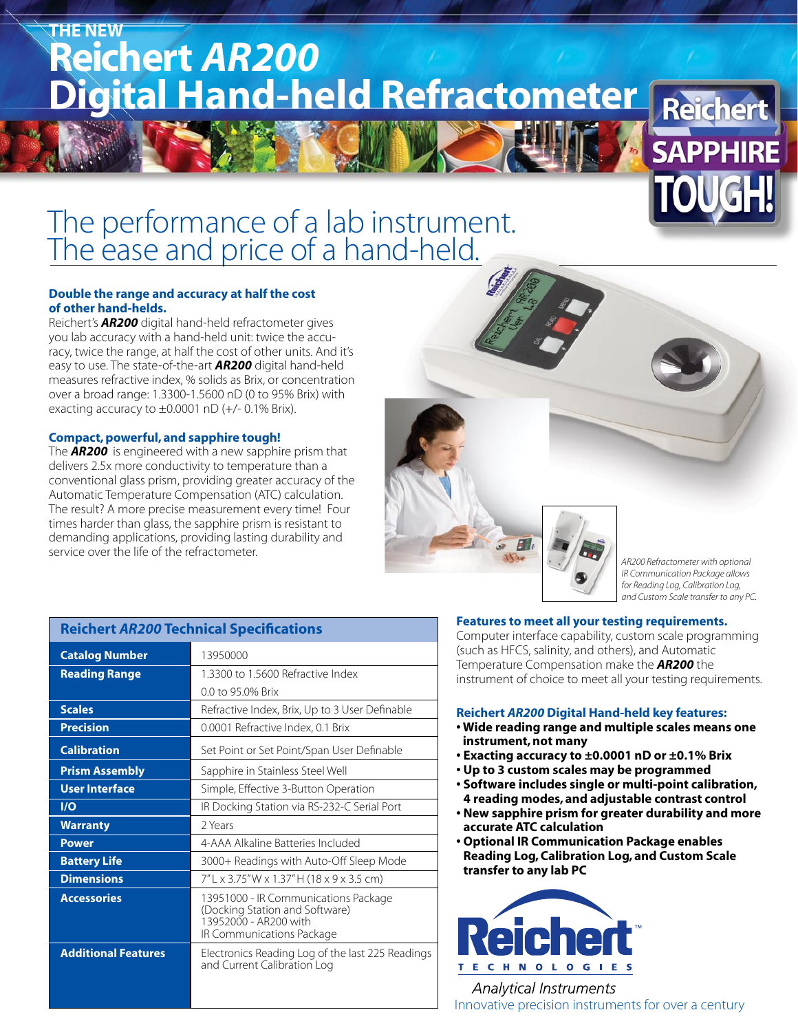# **Reichert** *AR200*  **Digital Hand-held Refractometer THE NEW**

# The performance of a lab instrument. The ease and price of a hand-held.

### **Double the range and accuracy at half the cost of other hand-helds.**

Reichert's *AR200* digital hand-held refractometer gives you lab accuracy with a hand-held unit: twice the accuracy, twice the range, at half the cost of other units. And it's easy to use. The state-of-the-art *AR200* digital hand-held measures refractive index, % solids as Brix, or concentration over a broad range: 1.3300-1.5600 nD (0 to 95% Brix) with exacting accuracy to  $\pm 0.0001$  nD (+/- 0.1% Brix).

### **Compact, powerful, and sapphire tough!**

The *AR200* is engineered with a new sapphire prism that delivers 2.5x more conductivity to temperature than a conventional glass prism, providing greater accuracy of the Automatic Temperature Compensation (ATC) calculation. The result? A more precise measurement every time! Four times harder than glass, the sapphire prism is resistant to demanding applications, providing lasting durability and service over the life of the refractometer.



### **Reichert** *AR200* **Technical Specifications**

| <b>Catalog Number</b>      | 13950000                                                                                                                     |
|----------------------------|------------------------------------------------------------------------------------------------------------------------------|
| <b>Reading Range</b>       | 13300 to 15600 Refractive Index                                                                                              |
|                            | 0.0 to 95.0% Brix                                                                                                            |
| <b>Scales</b>              | Refractive Index, Brix, Up to 3 User Definable                                                                               |
| <b>Precision</b>           | 0.0001 Refractive Index, 0.1 Brix                                                                                            |
| <b>Calibration</b>         | Set Point or Set Point/Span User Definable                                                                                   |
| <b>Prism Assembly</b>      | Sapphire in Stainless Steel Well                                                                                             |
| <b>User Interface</b>      | Simple, Effective 3-Button Operation                                                                                         |
| I/O                        | IR Docking Station via RS-232-C Serial Port                                                                                  |
| <b>Warranty</b>            | 2 Years                                                                                                                      |
| <b>Power</b>               | 4-AAA Alkaline Batteries Included                                                                                            |
| <b>Battery Life</b>        | 3000+ Readings with Auto-Off Sleep Mode                                                                                      |
| <b>Dimensions</b>          | 7"L x 3.75"W x 1.37"H (18 x 9 x 3.5 cm)                                                                                      |
| <b>Accessories</b>         | 13951000 - IR Communications Package<br>(Docking Station and Software)<br>13952000 - AR200 with<br>IR Communications Package |
| <b>Additional Features</b> | Electronics Reading Log of the last 225 Readings<br>and Current Calibration Log                                              |

#### **Features to meet all your testing requirements.**

Computer interface capability, custom scale programming (such as HFCS, salinity, and others), and Automatic Temperature Compensation make the *AR200* the instrument of choice to meet all your testing requirements.

#### **Reichert** *AR200* **Digital Hand-held key features:**

- **Wide reading range and multiple scales means one instrument, not many**
- **Exacting accuracy to ±0.0001 nD or ±0.1% Brix**
- **Up to 3 custom scales may be programmed**
- **Software includes single or multi-point calibration, 4 reading modes, and adjustable contrast control**
- **New sapphire prism for greater durability and more accurate ATC calculation**
- **Optional IR Communication Package enables Reading Log, Calibration Log, and Custom Scale transfer to any lab PC**



**Analytical Instruments** Innovative precision instruments for over a century